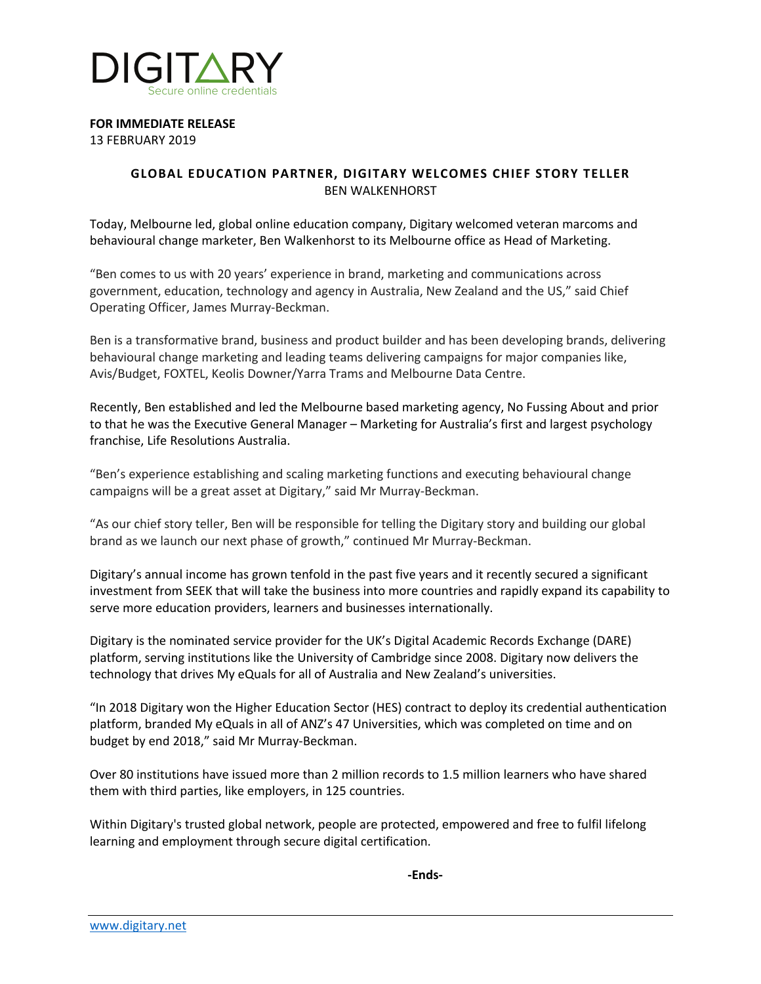

**FOR IMMEDIATE RELEASE**

13 FEBRUARY 2019

## **GLOBAL EDUCATION PARTNER, DIGITARY WELCOMES CHIEF STORY TELLER** BEN WALKENHORST

Today, Melbourne led, global online education company, Digitary welcomed veteran marcoms and behavioural change marketer, Ben Walkenhorst to its Melbourne office as Head of Marketing.

"Ben comes to us with 20 years' experience in brand, marketing and communications across government, education, technology and agency in Australia, New Zealand and the US," said Chief Operating Officer, James Murray-Beckman.

Ben is a transformative brand, business and product builder and has been developing brands, delivering behavioural change marketing and leading teams delivering campaigns for major companies like, Avis/Budget, FOXTEL, Keolis Downer/Yarra Trams and Melbourne Data Centre.

Recently, Ben established and led the Melbourne based marketing agency, No Fussing About and prior to that he was the Executive General Manager – Marketing for Australia's first and largest psychology franchise, Life Resolutions Australia.

"Ben's experience establishing and scaling marketing functions and executing behavioural change campaigns will be a great asset at Digitary," said Mr Murray-Beckman.

"As our chief story teller, Ben will be responsible for telling the Digitary story and building our global brand as we launch our next phase of growth," continued Mr Murray-Beckman.

Digitary's annual income has grown tenfold in the past five years and it recently secured a significant investment from SEEK that will take the business into more countries and rapidly expand its capability to serve more education providers, learners and businesses internationally.

Digitary is the nominated service provider for the UK's Digital Academic Records Exchange (DARE) platform, serving institutions like the University of Cambridge since 2008. Digitary now delivers the technology that drives My eQuals for all of Australia and New Zealand's universities.

"In 2018 Digitary won the Higher Education Sector (HES) contract to deploy its credential authentication platform, branded My eQuals in all of ANZ's 47 Universities, which was completed on time and on budget by end 2018," said Mr Murray-Beckman.

Over 80 institutions have issued more than 2 million records to 1.5 million learners who have shared them with third parties, like employers, in 125 countries.

Within Digitary's trusted global network, people are protected, empowered and free to fulfil lifelong learning and employment through secure digital certification.

**-Ends-**